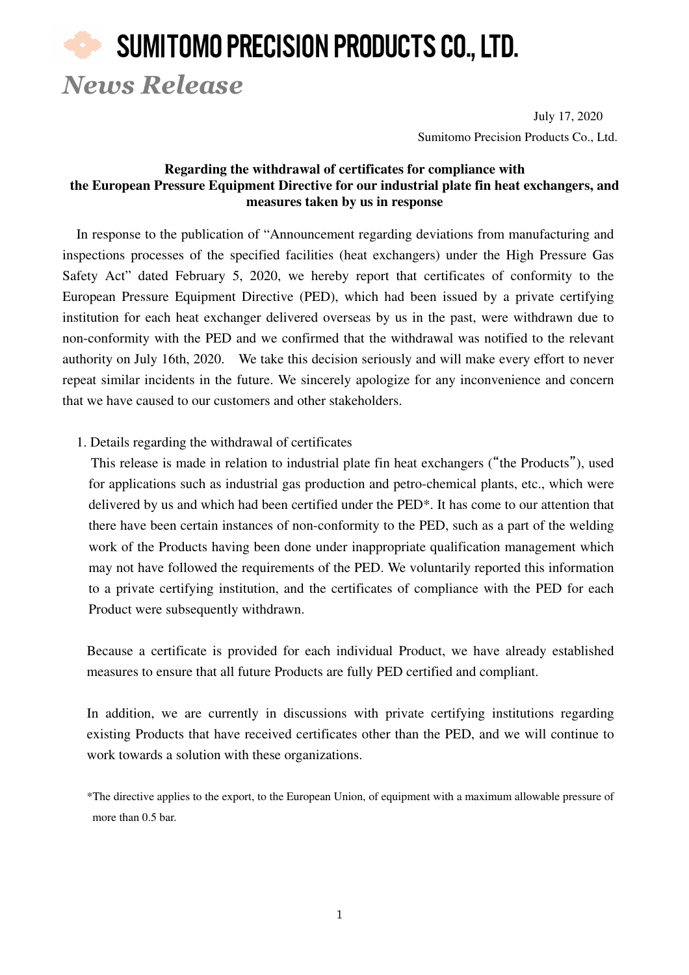# SUMITOMO PRECISION PRODUCTS CO., LTD. *News Release*

July 17, 2020 Sumitomo Precision Products Co., Ltd.

### **Regarding the withdrawal of certificates for compliance with the European Pressure Equipment Directive for our industrial plate fin heat exchangers, and measures taken by us in response**

In response to the publication of "Announcement regarding deviations from manufacturing and inspections processes of the specified facilities (heat exchangers) under the High Pressure Gas Safety Act" dated February 5, 2020, we hereby report that certificates of conformity to the European Pressure Equipment Directive (PED), which had been issued by a private certifying institution for each heat exchanger delivered overseas by us in the past, were withdrawn due to non-conformity with the PED and we confirmed that the withdrawal was notified to the relevant authority on July 16th, 2020. We take this decision seriously and will make every effort to never repeat similar incidents in the future. We sincerely apologize for any inconvenience and concern that we have caused to our customers and other stakeholders.

1. Details regarding the withdrawal of certificates

 This release is made in relation to industrial plate fin heat exchangers ("the Products"), used for applications such as industrial gas production and petro-chemical plants, etc., which were delivered by us and which had been certified under the PED\*. It has come to our attention that there have been certain instances of non-conformity to the PED, such as a part of the welding work of the Products having been done under inappropriate qualification management which may not have followed the requirements of the PED. We voluntarily reported this information to a private certifying institution, and the certificates of compliance with the PED for each Product were subsequently withdrawn.

Because a certificate is provided for each individual Product, we have already established measures to ensure that all future Products are fully PED certified and compliant.

In addition, we are currently in discussions with private certifying institutions regarding existing Products that have received certificates other than the PED, and we will continue to work towards a solution with these organizations.

<sup>\*</sup>The directive applies to the export, to the European Union, of equipment with a maximum allowable pressure of more than 0.5 bar.